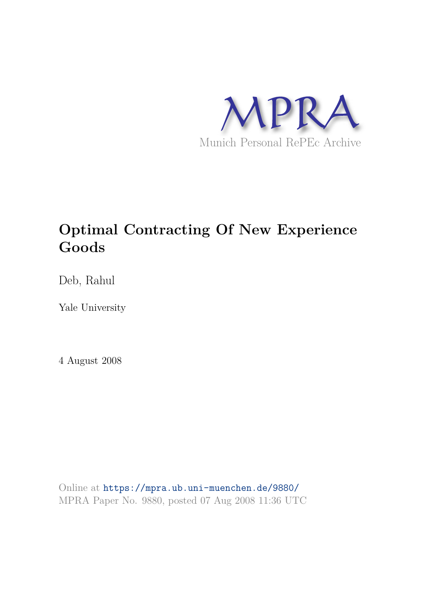

# **Optimal Contracting Of New Experience Goods**

Deb, Rahul

Yale University

4 August 2008

Online at https://mpra.ub.uni-muenchen.de/9880/ MPRA Paper No. 9880, posted 07 Aug 2008 11:36 UTC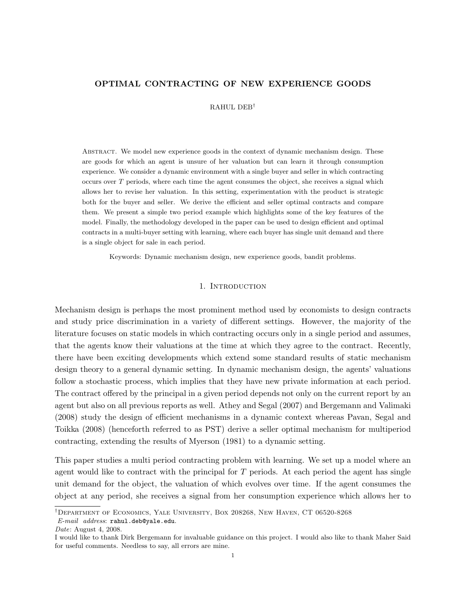## OPTIMAL CONTRACTING OF NEW EXPERIENCE GOODS

RAHUL DEB†

ABSTRACT. We model new experience goods in the context of dynamic mechanism design. These are goods for which an agent is unsure of her valuation but can learn it through consumption experience. We consider a dynamic environment with a single buyer and seller in which contracting occurs over  $T$  periods, where each time the agent consumes the object, she receives a signal which allows her to revise her valuation. In this setting, experimentation with the product is strategic both for the buyer and seller. We derive the efficient and seller optimal contracts and compare them. We present a simple two period example which highlights some of the key features of the model. Finally, the methodology developed in the paper can be used to design efficient and optimal contracts in a multi-buyer setting with learning, where each buyer has single unit demand and there is a single object for sale in each period.

Keywords: Dynamic mechanism design, new experience goods, bandit problems.

## 1. INTRODUCTION

Mechanism design is perhaps the most prominent method used by economists to design contracts and study price discrimination in a variety of different settings. However, the majority of the literature focuses on static models in which contracting occurs only in a single period and assumes, that the agents know their valuations at the time at which they agree to the contract. Recently, there have been exciting developments which extend some standard results of static mechanism design theory to a general dynamic setting. In dynamic mechanism design, the agents' valuations follow a stochastic process, which implies that they have new private information at each period. The contract offered by the principal in a given period depends not only on the current report by an agent but also on all previous reports as well. Athey and Segal (2007) and Bergemann and Valimaki (2008) study the design of efficient mechanisms in a dynamic context whereas Pavan, Segal and Toikka (2008) (henceforth referred to as PST) derive a seller optimal mechanism for multiperiod contracting, extending the results of Myerson (1981) to a dynamic setting.

This paper studies a multi period contracting problem with learning. We set up a model where an agent would like to contract with the principal for T periods. At each period the agent has single unit demand for the object, the valuation of which evolves over time. If the agent consumes the object at any period, she receives a signal from her consumption experience which allows her to

<sup>†</sup>Department of Economics, Yale University, Box 208268, New Haven, CT 06520-8268 E-mail address: rahul.deb@yale.edu.

Date: August 4, 2008.

I would like to thank Dirk Bergemann for invaluable guidance on this project. I would also like to thank Maher Said for useful comments. Needless to say, all errors are mine.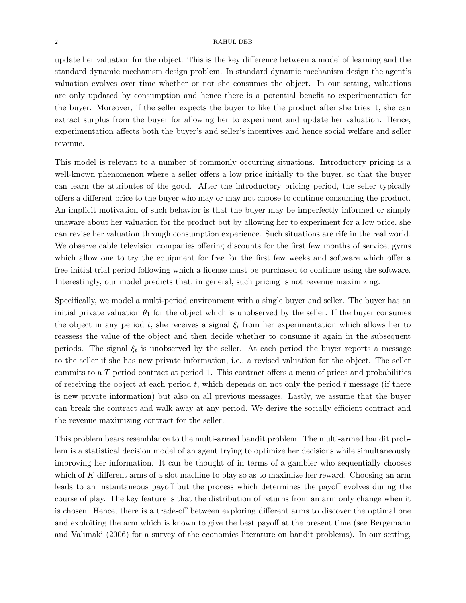update her valuation for the object. This is the key difference between a model of learning and the standard dynamic mechanism design problem. In standard dynamic mechanism design the agent's valuation evolves over time whether or not she consumes the object. In our setting, valuations are only updated by consumption and hence there is a potential benefit to experimentation for the buyer. Moreover, if the seller expects the buyer to like the product after she tries it, she can extract surplus from the buyer for allowing her to experiment and update her valuation. Hence, experimentation affects both the buyer's and seller's incentives and hence social welfare and seller revenue.

This model is relevant to a number of commonly occurring situations. Introductory pricing is a well-known phenomenon where a seller offers a low price initially to the buyer, so that the buyer can learn the attributes of the good. After the introductory pricing period, the seller typically offers a different price to the buyer who may or may not choose to continue consuming the product. An implicit motivation of such behavior is that the buyer may be imperfectly informed or simply unaware about her valuation for the product but by allowing her to experiment for a low price, she can revise her valuation through consumption experience. Such situations are rife in the real world. We observe cable television companies offering discounts for the first few months of service, gyms which allow one to try the equipment for free for the first few weeks and software which offer a free initial trial period following which a license must be purchased to continue using the software. Interestingly, our model predicts that, in general, such pricing is not revenue maximizing.

Specifically, we model a multi-period environment with a single buyer and seller. The buyer has an initial private valuation  $\theta_1$  for the object which is unobserved by the seller. If the buyer consumes the object in any period t, she receives a signal  $\xi_t$  from her experimentation which allows her to reassess the value of the object and then decide whether to consume it again in the subsequent periods. The signal  $\xi_t$  is unobserved by the seller. At each period the buyer reports a message to the seller if she has new private information, i.e., a revised valuation for the object. The seller commits to a T period contract at period 1. This contract offers a menu of prices and probabilities of receiving the object at each period  $t$ , which depends on not only the period  $t$  message (if there is new private information) but also on all previous messages. Lastly, we assume that the buyer can break the contract and walk away at any period. We derive the socially efficient contract and the revenue maximizing contract for the seller.

This problem bears resemblance to the multi-armed bandit problem. The multi-armed bandit problem is a statistical decision model of an agent trying to optimize her decisions while simultaneously improving her information. It can be thought of in terms of a gambler who sequentially chooses which of  $K$  different arms of a slot machine to play so as to maximize her reward. Choosing an arm leads to an instantaneous payoff but the process which determines the payoff evolves during the course of play. The key feature is that the distribution of returns from an arm only change when it is chosen. Hence, there is a trade-off between exploring different arms to discover the optimal one and exploiting the arm which is known to give the best payoff at the present time (see Bergemann and Valimaki (2006) for a survey of the economics literature on bandit problems). In our setting,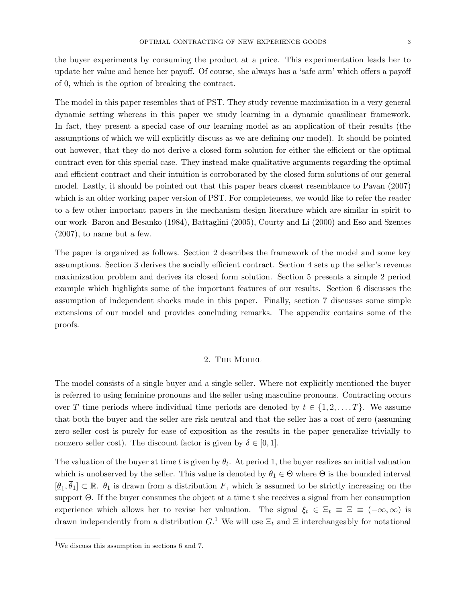the buyer experiments by consuming the product at a price. This experimentation leads her to update her value and hence her payoff. Of course, she always has a 'safe arm' which offers a payoff of 0, which is the option of breaking the contract.

The model in this paper resembles that of PST. They study revenue maximization in a very general dynamic setting whereas in this paper we study learning in a dynamic quasilinear framework. In fact, they present a special case of our learning model as an application of their results (the assumptions of which we will explicitly discuss as we are defining our model). It should be pointed out however, that they do not derive a closed form solution for either the efficient or the optimal contract even for this special case. They instead make qualitative arguments regarding the optimal and efficient contract and their intuition is corroborated by the closed form solutions of our general model. Lastly, it should be pointed out that this paper bears closest resemblance to Pavan (2007) which is an older working paper version of PST. For completeness, we would like to refer the reader to a few other important papers in the mechanism design literature which are similar in spirit to our work- Baron and Besanko (1984), Battaglini (2005), Courty and Li (2000) and Eso and Szentes (2007), to name but a few.

The paper is organized as follows. Section 2 describes the framework of the model and some key assumptions. Section 3 derives the socially efficient contract. Section 4 sets up the seller's revenue maximization problem and derives its closed form solution. Section 5 presents a simple 2 period example which highlights some of the important features of our results. Section 6 discusses the assumption of independent shocks made in this paper. Finally, section 7 discusses some simple extensions of our model and provides concluding remarks. The appendix contains some of the proofs.

## 2. The Model

The model consists of a single buyer and a single seller. Where not explicitly mentioned the buyer is referred to using feminine pronouns and the seller using masculine pronouns. Contracting occurs over T time periods where individual time periods are denoted by  $t \in \{1, 2, \ldots, T\}$ . We assume that both the buyer and the seller are risk neutral and that the seller has a cost of zero (assuming zero seller cost is purely for ease of exposition as the results in the paper generalize trivially to nonzero seller cost). The discount factor is given by  $\delta \in [0,1]$ .

The valuation of the buyer at time t is given by  $\theta_t$ . At period 1, the buyer realizes an initial valuation which is unobserved by the seller. This value is denoted by  $\theta_1 \in \Theta$  where  $\Theta$  is the bounded interval  $[\underline{\theta}_1, \overline{\theta}_1] \subset \mathbb{R}$ .  $\theta_1$  is drawn from a distribution F, which is assumed to be strictly increasing on the support  $\Theta$ . If the buyer consumes the object at a time t she receives a signal from her consumption experience which allows her to revise her valuation. The signal  $\xi_t \in \Xi_t \equiv \Xi \equiv (-\infty, \infty)$  is drawn independently from a distribution  $G<sup>1</sup>$  We will use  $\Xi_t$  and  $\Xi$  interchangeably for notational

<sup>1</sup>We discuss this assumption in sections 6 and 7.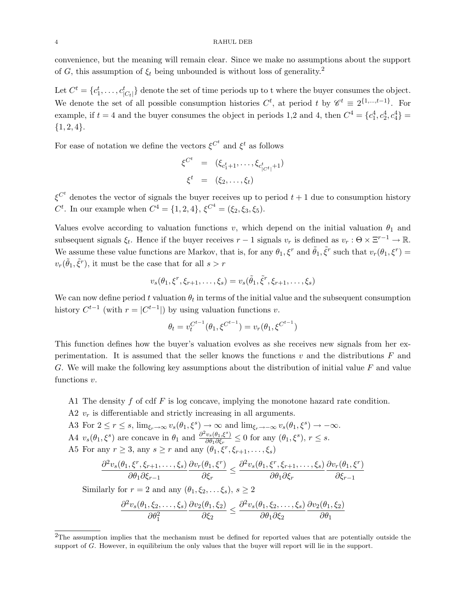convenience, but the meaning will remain clear. Since we make no assumptions about the support of G, this assumption of  $\xi_t$  being unbounded is without loss of generality.<sup>2</sup>

Let  $C^t = \{c_1^t, \ldots, c_{|C_t|}^t\}$  denote the set of time periods up to t where the buyer consumes the object. We denote the set of all possible consumption histories  $C^t$ , at period t by  $\mathscr{C}^t \equiv 2^{\{1,\dots,t-1\}}$ . For example, if  $t = 4$  and the buyer consumes the object in periods 1,2 and 4, then  $C^4 = \{c_1^4, c_2^4, c_4^4\} =$  ${1, 2, 4}.$ 

For ease of notation we define the vectors  $\xi^{C^t}$  and  $\xi^t$  as follows

$$
\xi^{C^t} = (\xi_{c_1^t+1}, \dots, \xi_{c_{|C^t|}^t+1})
$$
  

$$
\xi^t = (\xi_2, \dots, \xi_t)
$$

 $\xi^{C^t}$  denotes the vector of signals the buyer receives up to period  $t+1$  due to consumption history C<sup>t</sup>. In our example when  $C^4 = \{1, 2, 4\}, \, \xi^{C^4} = (\xi_2, \xi_3, \xi_5).$ 

Values evolve according to valuation functions v, which depend on the initial valuation  $\theta_1$  and subsequent signals  $\xi_t$ . Hence if the buyer receives  $r-1$  signals  $v_r$  is defined as  $v_r : \Theta \times \Xi^{r-1} \to \mathbb{R}$ . We assume these value functions are Markov, that is, for any  $\theta_1$ ,  $\xi^r$  and  $\tilde{\theta}_1$ ,  $\tilde{\xi}^r$  such that  $v_r(\theta_1, \xi^r)$  =  $v_r(\tilde{\theta}_1, \tilde{\xi}^r)$ , it must be the case that for all  $s > r$ 

$$
v_s(\theta_1, \xi^r, \xi_{r+1}, \dots, \xi_s) = v_s(\tilde{\theta}_1, \tilde{\xi}^r, \xi_{r+1}, \dots, \xi_s)
$$

We can now define period t valuation  $\theta_t$  in terms of the initial value and the subsequent consumption history  $C^{t-1}$  (with  $r = |C^{t-1}|$ ) by using valuation functions v.

$$
\theta_t = v_t^{C^{t-1}}(\theta_1, \xi^{C^{t-1}}) = v_r(\theta_1, \xi^{C^{t-1}})
$$

This function defines how the buyer's valuation evolves as she receives new signals from her experimentation. It is assumed that the seller knows the functions  $v$  and the distributions  $F$  and G. We will make the following key assumptions about the distribution of initial value  $F$  and value functions  $v$ .

A1 The density f of cdf  $F$  is log concave, implying the monotone hazard rate condition.

- A2  $v_r$  is differentiable and strictly increasing in all arguments.
- A3 For  $2 \le r \le s$ ,  $\lim_{\xi_r \to \infty} v_s(\theta_1, \xi^s) \to \infty$  and  $\lim_{\xi_r \to -\infty} v_s(\theta_1, \xi^s) \to -\infty$ .
- A4  $v_s(\theta_1,\xi^s)$  are concave in  $\theta_1$  and  $\frac{\partial^2 v_s(\theta_1,\xi^s)}{\partial \theta_1 \partial \xi_s}$  $\frac{v_s(\theta_1,\xi^s)}{\partial \theta_1 \partial \xi_r} \leq 0$  for any  $(\theta_1,\xi^s)$ ,  $r \leq s$ .

A5 For any  $r \geq 3$ , any  $s \geq r$  and any  $(\theta_1, \xi^r, \xi_{r+1}, \dots, \xi_s)$ 

$$
\frac{\partial^2 v_s(\theta_1,\xi^r,\xi_{r+1},\ldots,\xi_s)}{\partial \theta_1 \partial \xi_{r-1}} \frac{\partial v_r(\theta_1,\xi^r)}{\partial \xi_r} \leq \frac{\partial^2 v_s(\theta_1,\xi^r,\xi_{r+1},\ldots,\xi_s)}{\partial \theta_1 \partial \xi_r} \frac{\partial v_r(\theta_1,\xi^r)}{\partial \xi_{r-1}}
$$

Similarly for  $r = 2$  and any  $(\theta_1, \xi_2, \dots, \xi_s), s \geq 2$ 

$$
\frac{\partial^2 v_s(\theta_1,\xi_2,\ldots,\xi_s)}{\partial \theta_1^2} \frac{\partial v_2(\theta_1,\xi_2)}{\partial \xi_2} \le \frac{\partial^2 v_s(\theta_1,\xi_2,\ldots,\xi_s)}{\partial \theta_1 \partial \xi_2} \frac{\partial v_2(\theta_1,\xi_2)}{\partial \theta_1}
$$

<sup>&</sup>lt;sup>2</sup>The assumption implies that the mechanism must be defined for reported values that are potentially outside the support of G. However, in equilibrium the only values that the buyer will report will lie in the support.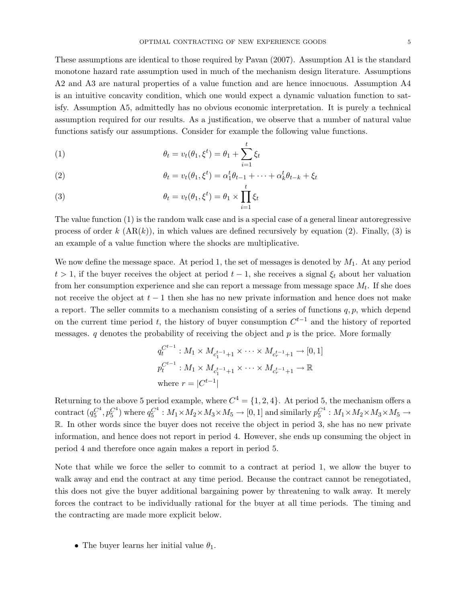These assumptions are identical to those required by Pavan (2007). Assumption A1 is the standard monotone hazard rate assumption used in much of the mechanism design literature. Assumptions A2 and A3 are natural properties of a value function and are hence innocuous. Assumption A4 is an intuitive concavity condition, which one would expect a dynamic valuation function to satisfy. Assumption A5, admittedly has no obvious economic interpretation. It is purely a technical assumption required for our results. As a justification, we observe that a number of natural value functions satisfy our assumptions. Consider for example the following value functions.

(1) 
$$
\theta_t = v_t(\theta_1, \xi^t) = \theta_1 + \sum_{i=1}^t \xi_i
$$

(2) 
$$
\theta_t = v_t(\theta_1, \xi^t) = \alpha_1^t \theta_{t-1} + \dots + \alpha_k^t \theta_{t-k} + \xi_t
$$

(3) 
$$
\theta_t = v_t(\theta_1, \xi^t) = \theta_1 \times \prod_{i=1} \xi_i
$$

The value function (1) is the random walk case and is a special case of a general linear autoregressive process of order k  $(AR(k))$ , in which values are defined recursively by equation (2). Finally, (3) is an example of a value function where the shocks are multiplicative.

We now define the message space. At period 1, the set of messages is denoted by  $M_1$ . At any period  $t > 1$ , if the buyer receives the object at period  $t - 1$ , she receives a signal  $\xi_t$  about her valuation from her consumption experience and she can report a message from message space  $M_t$ . If she does not receive the object at  $t - 1$  then she has no new private information and hence does not make a report. The seller commits to a mechanism consisting of a series of functions  $q, p$ , which depend on the current time period t, the history of buyer consumption  $C^{t-1}$  and the history of reported messages.  $q$  denotes the probability of receiving the object and  $p$  is the price. More formally

$$
q_t^{C^{t-1}} : M_1 \times M_{c_1^{t-1}+1} \times \cdots \times M_{c_r^{t-1}+1} \to [0, 1]
$$
  

$$
p_t^{C^{t-1}} : M_1 \times M_{c_1^{t-1}+1} \times \cdots \times M_{c_r^{t-1}+1} \to \mathbb{R}
$$
  
where  $r = |C^{t-1}|$ 

Returning to the above 5 period example, where  $C^4 = \{1, 2, 4\}$ . At period 5, the mechanism offers a contract  $(q_5^{C^4}, p_5^{C^4})$  where  $q_5^{C^4}: M_1 \times M_2 \times M_3 \times M_5 \to [0, 1]$  and similarly  $p_5^{C^4}: M_1 \times M_2 \times M_3 \times M_5 \to 0$ R. In other words since the buyer does not receive the object in period 3, she has no new private information, and hence does not report in period 4. However, she ends up consuming the object in period 4 and therefore once again makes a report in period 5.

Note that while we force the seller to commit to a contract at period 1, we allow the buyer to walk away and end the contract at any time period. Because the contract cannot be renegotiated, this does not give the buyer additional bargaining power by threatening to walk away. It merely forces the contract to be individually rational for the buyer at all time periods. The timing and the contracting are made more explicit below.

• The buyer learns her initial value  $\theta_1$ .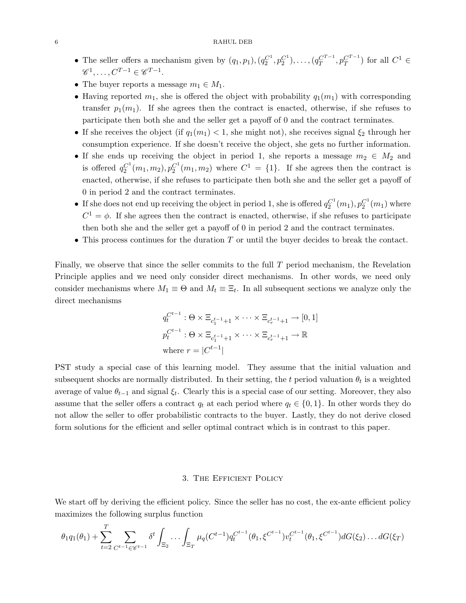- The seller offers a mechanism given by  $(q_1, p_1), (q_2^{C^1}, p_2^{C^1}), \ldots, (q_T^{C^{T-1}}, p_T^{C^{T-1}})$  for all  $C^1 \in$  $\mathscr{C}^1, \ldots, C^{T-1} \in \mathscr{C}^{T-1}.$
- The buyer reports a message  $m_1 \in M_1$ .
- Having reported  $m_1$ , she is offered the object with probability  $q_1(m_1)$  with corresponding transfer  $p_1(m_1)$ . If she agrees then the contract is enacted, otherwise, if she refuses to participate then both she and the seller get a payoff of 0 and the contract terminates.
- If she receives the object (if  $q_1(m_1) < 1$ , she might not), she receives signal  $\xi_2$  through her consumption experience. If she doesn't receive the object, she gets no further information.
- If she ends up receiving the object in period 1, she reports a message  $m_2 \in M_2$  and is offered  $q_2^{C^1}(m_1, m_2)$ ,  $p_2^{C^1}(m_1, m_2)$  where  $C^1 = \{1\}$ . If she agrees then the contract is enacted, otherwise, if she refuses to participate then both she and the seller get a payoff of 0 in period 2 and the contract terminates.
- If she does not end up receiving the object in period 1, she is offered  $q_2^{C^1}(m_1)$ ,  $p_2^{C^1}(m_1)$  where  $C^1 = \phi$ . If she agrees then the contract is enacted, otherwise, if she refuses to participate then both she and the seller get a payoff of 0 in period 2 and the contract terminates.
- This process continues for the duration  $T$  or until the buyer decides to break the contact.

Finally, we observe that since the seller commits to the full  $T$  period mechanism, the Revelation Principle applies and we need only consider direct mechanisms. In other words, we need only consider mechanisms where  $M_1 \equiv \Theta$  and  $M_t \equiv \Xi_t$ . In all subsequent sections we analyze only the direct mechanisms

$$
q_t^{C^{t-1}} : \Theta \times \Xi_{c_1^{t-1}+1} \times \cdots \times \Xi_{c_r^{t-1}+1} \to [0, 1]
$$
  

$$
p_t^{C^{t-1}} : \Theta \times \Xi_{c_1^{t-1}+1} \times \cdots \times \Xi_{c_r^{t-1}+1} \to \mathbb{R}
$$
  
where  $r = |C^{t-1}|$ 

PST study a special case of this learning model. They assume that the initial valuation and subsequent shocks are normally distributed. In their setting, the t period valuation  $\theta_t$  is a weighted average of value  $\theta_{t-1}$  and signal  $\xi_t$ . Clearly this is a special case of our setting. Moreover, they also assume that the seller offers a contract  $q_t$  at each period where  $q_t \in \{0,1\}$ . In other words they do not allow the seller to offer probabilistic contracts to the buyer. Lastly, they do not derive closed form solutions for the efficient and seller optimal contract which is in contrast to this paper.

## 3. The Efficient Policy

We start off by deriving the efficient policy. Since the seller has no cost, the ex-ante efficient policy maximizes the following surplus function

$$
\theta_1 q_1(\theta_1) + \sum_{t=2}^T \sum_{C^{t-1} \in \mathscr{C}^{t-1}} \delta^t \int_{\Xi_2} \cdots \int_{\Xi_T} \mu_q(C^{t-1}) q_t^{C^{t-1}}(\theta_1, \xi^{C^{t-1}}) v_t^{C^{t-1}}(\theta_1, \xi^{C^{t-1}}) dG(\xi_2) \dots dG(\xi_T)
$$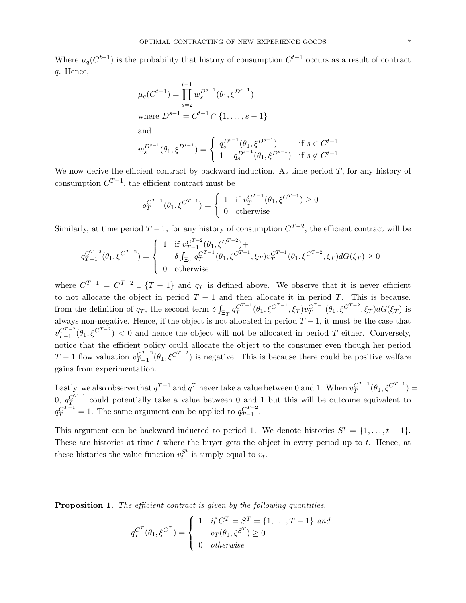Where  $\mu_q(C^{t-1})$  is the probability that history of consumption  $C^{t-1}$  occurs as a result of contract q. Hence,

$$
\mu_q(C^{t-1}) = \prod_{s=2}^{t-1} w_s^{D^{s-1}} (\theta_1, \xi^{D^{s-1}})
$$
  
where  $D^{s-1} = C^{t-1} \cap \{1, ..., s-1\}$   
and  

$$
w_s^{D^{s-1}} (\theta_1, \xi^{D^{s-1}}) = \begin{cases} q_s^{D^{s-1}} (\theta_1, \xi^{D^{s-1}}) & \text{if } s \in C^{t-1} \\ 1 - q_s^{D^{s-1}} (\theta_1, \xi^{D^{s-1}}) & \text{if } s \notin C^{t-1} \end{cases}
$$

We now derive the efficient contract by backward induction. At time period  $T$ , for any history of consumption  $C^{T-1}$ , the efficient contract must be

$$
q_T^{C^{T-1}}(\theta_1,\xi^{C^{T-1}})=\left\{\begin{array}{ll} 1 & \text{if } v_T^{C^{T-1}}(\theta_1,\xi^{C^{T-1}})\geq 0\\ 0 & \text{otherwise} \end{array}\right.
$$

Similarly, at time period  $T-1$ , for any history of consumption  $C^{T-2}$ , the efficient contract will be

$$
q_{T-1}^{C^{T-2}}(\theta_1, \xi^{C^{T-2}}) = \begin{cases} 1 & \text{if } v_{T-1}^{C^{T-2}}(\theta_1, \xi^{C^{T-2}}) + \\ & \delta \int_{\Xi_T} q_T^{C^{T-1}}(\theta_1, \xi^{C^{T-1}}, \xi_T) v_T^{C^{T-1}}(\theta_1, \xi^{C^{T-2}}, \xi_T) dG(\xi_T) \ge 0 \\ 0 & \text{otherwise} \end{cases}
$$

where  $C^{T-1} = C^{T-2} \cup \{T-1\}$  and  $q_T$  is defined above. We observe that it is never efficient to not allocate the object in period  $T - 1$  and then allocate it in period T. This is because, from the definition of  $q_T$ , the second term  $\delta \int_{\Xi_T} q_T^{C^{T-1}}(\theta_1, \xi^{C^{T-1}}, \xi_T) v_T^{C^{T-1}}(\theta_1, \xi^{C^{T-2}}, \xi_T) dG(\xi_T)$  is always non-negative. Hence, if the object is not allocated in period  $T-1$ , it must be the case that  $v_{T-1}^{C^{T-2}}(\theta_1,\xi^{C^{T-2}})$  < 0 and hence the object will not be allocated in period T either. Conversely, notice that the efficient policy could allocate the object to the consumer even though her period T − 1 flow valuation  $v_{T-1}^{C^{T-2}}(\theta_1,\xi^{C^{T-2}})$  is negative. This is because there could be positive welfare gains from experimentation.

Lastly, we also observe that  $q^{T-1}$  and  $q^T$  never take a value between 0 and 1. When  $v_T^{C^{T-1}}(\theta_1,\xi^{C^{T-1}})$  = 0,  $q_T^{C^{T-1}}$  could potentially take a value between 0 and 1 but this will be outcome equivalent to  $q_T^{C^{T-1}} = 1$ . The same argument can be applied to  $q_{T-1}^{C^{T-2}}$ .

This argument can be backward inducted to period 1. We denote histories  $S^t = \{1, \ldots, t-1\}$ . These are histories at time  $t$  where the buyer gets the object in every period up to  $t$ . Hence, at these histories the value function  $v_t^{S^t}$  $t^{\delta^c}$  is simply equal to  $v_t$ .

**Proposition 1.** The efficient contract is given by the following quantities.

$$
q_T^{C^T}(\theta_1, \xi^{C^T}) = \begin{cases} 1 & \text{if } C^T = S^T = \{1, \dots, T-1\} \text{ and} \\ v_T(\theta_1, \xi^{S^T}) \ge 0 \\ 0 & \text{otherwise} \end{cases}
$$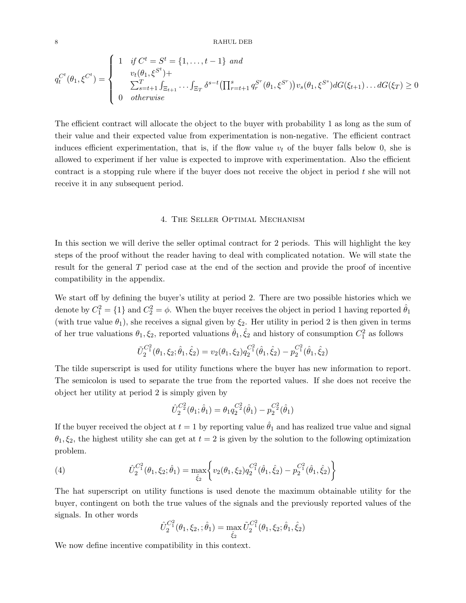$$
q_t^{C^t}(\theta_1, \xi^{C^t}) = \begin{cases} 1 & \text{if } C^t = S^t = \{1, \dots, t-1\} \text{ and} \\ & v_t(\theta_1, \xi^{S^t}) + \\ & \sum_{s=t+1}^T \int_{\Xi_{t+1}} \dots \int_{\Xi_T} \delta^{s-t} \left(\prod_{r=t+1}^s q_r^{S^r}(\theta_1, \xi^{S^r})\right) v_s(\theta_1, \xi^{S^s}) dG(\xi_{t+1}) \dots dG(\xi_T) \ge 0 \\ 0 & otherwise \end{cases}
$$

The efficient contract will allocate the object to the buyer with probability 1 as long as the sum of their value and their expected value from experimentation is non-negative. The efficient contract induces efficient experimentation, that is, if the flow value  $v_t$  of the buyer falls below 0, she is allowed to experiment if her value is expected to improve with experimentation. Also the efficient contract is a stopping rule where if the buyer does not receive the object in period t she will not receive it in any subsequent period.

## 4. The Seller Optimal Mechanism

In this section we will derive the seller optimal contract for 2 periods. This will highlight the key steps of the proof without the reader having to deal with complicated notation. We will state the result for the general T period case at the end of the section and provide the proof of incentive compatibility in the appendix.

We start off by defining the buyer's utility at period 2. There are two possible histories which we denote by  $C_1^2 = \{1\}$  and  $C_2^2 = \phi$ . When the buyer receives the object in period 1 having reported  $\hat{\theta}_1$ (with true value  $\theta_1$ ), she receives a signal given by  $\xi_2$ . Her utility in period 2 is then given in terms of her true valuations  $\hat{\theta}_1, \hat{\xi}_2$ , reported valuations  $\hat{\theta}_1, \hat{\xi}_2$  and history of consumption  $C_1^2$  as follows

$$
\tilde{U}_2^{C_1^2}(\theta_1,\xi_2;\hat{\theta}_1,\hat{\xi}_2) = v_2(\theta_1,\xi_2)q_2^{C_1^2}(\hat{\theta}_1,\hat{\xi}_2) - p_2^{C_1^2}(\hat{\theta}_1,\hat{\xi}_2)
$$

The tilde superscript is used for utility functions where the buyer has new information to report. The semicolon is used to separate the true from the reported values. If she does not receive the object her utility at period 2 is simply given by

$$
\hat{U}_{2}^{C_2^2}(\theta_1;\hat{\theta}_1)=\theta_1q_{2}^{C_2^2}(\hat{\theta}_1)-p_{2}^{C_2^2}(\hat{\theta}_1)
$$

If the buyer received the object at  $t = 1$  by reporting value  $\hat{\theta}_1$  and has realized true value and signal  $\theta_1, \xi_2$ , the highest utility she can get at  $t = 2$  is given by the solution to the following optimization problem.

(4) 
$$
\hat{U}_{2}^{C_{1}^{2}}(\theta_{1}, \xi_{2}; \hat{\theta}_{1}) = \max_{\hat{\xi}_{2}} \left\{ v_{2}(\theta_{1}, \xi_{2}) q_{2}^{C_{1}^{2}}(\hat{\theta}_{1}, \hat{\xi}_{2}) - p_{2}^{C_{1}^{2}}(\hat{\theta}_{1}, \hat{\xi}_{2}) \right\}
$$

The hat superscript on utility functions is used denote the maximum obtainable utility for the buyer, contingent on both the true values of the signals and the previously reported values of the signals. In other words

$$
\hat{U}_{2}^{C_{1}^{2}}(\theta_{1}, \xi_{2}, ; \hat{\theta}_{1}) = \max_{\hat{\xi}_{2}} \tilde{U}_{2}^{C_{1}^{2}}(\theta_{1}, \xi_{2}; \hat{\theta}_{1}, \hat{\xi}_{2})
$$

We now define incentive compatibility in this context.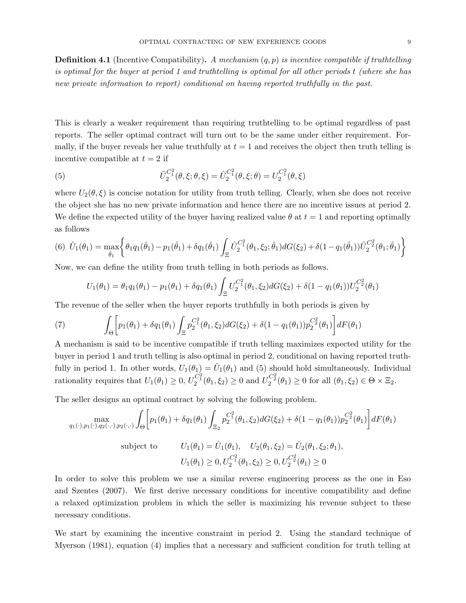**Definition 4.1** (Incentive Compatibility). A mechanism  $(q, p)$  is incentive compatible if truthtelling is optimal for the buyer at period 1 and truthtelling is optimal for all other periods t (where she has new private information to report) conditional on having reported truthfully in the past.

This is clearly a weaker requirement than requiring truthtelling to be optimal regardless of past reports. The seller optimal contract will turn out to be the same under either requirement. Formally, if the buyer reveals her value truthfully at  $t = 1$  and receives the object then truth telling is incentive compatible at  $t = 2$  if

(5) 
$$
\tilde{U}_2^{C_1^2}(\theta,\xi;\theta,\xi) = \hat{U}_2^{C_1^2}(\theta,\xi;\theta) = U_2^{C_1^2}(\theta,\xi)
$$

where  $U_2(\theta, \xi)$  is concise notation for utility from truth telling. Clearly, when she does not receive the object she has no new private information and hence there are no incentive issues at period 2. We define the expected utility of the buyer having realized value  $\theta$  at  $t = 1$  and reporting optimally as follows

$$
(6) \ \hat{U}_1(\theta_1) = \max_{\hat{\theta}_1} \left\{ \theta_1 q_1(\hat{\theta}_1) - p_1(\hat{\theta}_1) + \delta q_1(\hat{\theta}_1) \int_{\Xi} \hat{U}_2^{C_1^2}(\theta_1, \xi_2; \hat{\theta}_1) dG(\xi_2) + \delta (1 - q_1(\hat{\theta}_1)) \hat{U}_2^{C_2^2}(\theta_1; \hat{\theta}_1) \right\}
$$

Now, we can define the utility from truth telling in both periods as follows.

$$
U_1(\theta_1) = \theta_1 q_1(\theta_1) - p_1(\theta_1) + \delta q_1(\theta_1) \int_{\Xi} U_2^{C_1^2}(\theta_1, \xi_2) dG(\xi_2) + \delta (1 - q_1(\theta_1)) U_2^{C_2^2}(\theta_1)
$$

The revenue of the seller when the buyer reports truthfully in both periods is given by

(7) 
$$
\int_{\Theta} \left[ p_1(\theta_1) + \delta q_1(\theta_1) \int_{\Xi} p_2^{C_1^2}(\theta_1, \xi_2) dG(\xi_2) + \delta (1 - q_1(\theta_1)) p_2^{C_2^2}(\theta_1) \right] dF(\theta_1)
$$

A mechanism is said to be incentive compatible if truth telling maximizes expected utility for the buyer in period 1 and truth telling is also optimal in period 2, conditional on having reported truthfully in period 1. In other words,  $U_1(\theta_1) = \hat{U}_1(\theta_1)$  and (5) should hold simultaneously. Individual rationality requires that  $U_1(\theta_1) \ge 0$ ,  $U_2^{C_1^2}(\theta_1, \xi_2) \ge 0$  and  $U_2^{C_2^2}(\theta_1) \ge 0$  for all  $(\theta_1, \xi_2) \in \Theta \times \Xi_2$ .

The seller designs an optimal contract by solving the following problem.

$$
\max_{q_1(\cdot), p_1(\cdot), q_2(\cdot, \cdot), p_2(\cdot, \cdot)} \int_{\Theta} \left[ p_1(\theta_1) + \delta q_1(\theta_1) \int_{\Xi_2} p_2^{C_1^2}(\theta_1, \xi_2) dG(\xi_2) + \delta (1 - q_1(\theta_1)) p_2^{C_2^2}(\theta_1) \right] dF(\theta_1)
$$
\nsubject to\n
$$
U_1(\theta_1) = \hat{U}_1(\theta_1), \quad U_2(\theta_1, \xi_2) = \hat{U}_2(\theta_1, \xi_2; \theta_1),
$$
\n
$$
U_1(\theta_1) \ge 0, U_2^{C_1^2}(\theta_1, \xi_2) \ge 0, U_2^{C_2^2}(\theta_1) \ge 0
$$

In order to solve this problem we use a similar reverse engineering process as the one in Eso and Szentes (2007). We first derive necessary conditions for incentive compatibility and define a relaxed optimization problem in which the seller is maximizing his revenue subject to these necessary conditions.

We start by examining the incentive constraint in period 2. Using the standard technique of Myerson (1981), equation (4) implies that a necessary and sufficient condition for truth telling at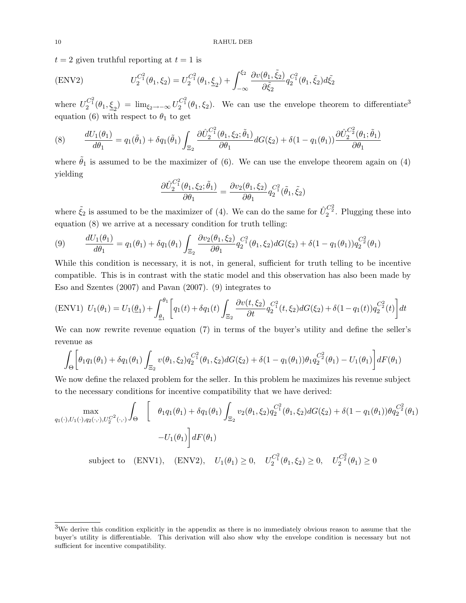$t = 2$  given truthful reporting at  $t = 1$  is

$$
(ENV2) \tU_2^{C_1^2}(\theta_1, \xi_2) = U_2^{C_1^2}(\theta_1, \underline{\xi}_2) + \int_{-\infty}^{\xi_2} \frac{\partial v(\theta_1, \tilde{\xi}_2)}{\partial \tilde{\xi}_2} q_2^{C_1^2}(\theta_1, \tilde{\xi}_2) d\tilde{\xi}_2
$$

where  $U_2^{C_1^2}(\theta_1,\xi_2) = \lim_{\xi_2 \to -\infty} U_2^{C_1^2}(\theta_1,\xi_2)$ . We can use the envelope theorem to differentiate<sup>3</sup> equation (6) with respect to  $\theta_1$  to get

(8) 
$$
\frac{dU_1(\theta_1)}{d\theta_1} = q_1(\tilde{\theta}_1) + \delta q_1(\tilde{\theta}_1) \int_{\Xi_2} \frac{\partial \hat{U}_2^{C_1^2}(\theta_1, \xi_2; \tilde{\theta}_1)}{\partial \theta_1} dG(\xi_2) + \delta (1 - q_1(\theta_1)) \frac{\partial \hat{U}_2^{C_2^2}(\theta_1; \tilde{\theta}_1)}{\partial \theta_1}
$$

where  $\tilde{\theta}_1$  is assumed to be the maximizer of (6). We can use the envelope theorem again on (4) yielding

$$
\frac{\partial \hat{U}_{2}^{C_{1}^{2}}(\theta_{1},\xi_{2};\tilde{\theta}_{1})}{\partial \theta_{1}} = \frac{\partial v_{2}(\theta_{1},\xi_{2})}{\partial \theta_{1}} q_{2}^{C_{1}^{2}}(\tilde{\theta}_{1},\tilde{\xi}_{2})
$$

where  $\tilde{\xi}_2$  is assumed to be the maximizer of (4). We can do the same for  $\tilde{U}_2^{C_2^2}$ . Plugging these into equation (8) we arrive at a necessary condition for truth telling:

(9) 
$$
\frac{dU_1(\theta_1)}{d\theta_1} = q_1(\theta_1) + \delta q_1(\theta_1) \int_{\Xi_2} \frac{\partial v_2(\theta_1, \xi_2)}{\partial \theta_1} q_2^{C_1^2}(\theta_1, \xi_2) dG(\xi_2) + \delta (1 - q_1(\theta_1)) q_2^{C_2^2}(\theta_1)
$$

While this condition is necessary, it is not, in general, sufficient for truth telling to be incentive compatible. This is in contrast with the static model and this observation has also been made by Eso and Szentes (2007) and Pavan (2007). (9) integrates to

$$
\text{(ENV1)}\ \ U_1(\theta_1) = U_1(\underline{\theta}_1) + \int_{\underline{\theta}_1}^{\theta_1} \left[ q_1(t) + \delta q_1(t) \int_{\Xi_2} \frac{\partial v(t, \xi_2)}{\partial t} q_2^{C_1^2}(t, \xi_2) dG(\xi_2) + \delta (1 - q_1(t)) q_2^{C_2^2}(t) \right] dt
$$

We can now rewrite revenue equation (7) in terms of the buyer's utility and define the seller's revenue as

$$
\int_{\Theta} \left[ \theta_1 q_1(\theta_1) + \delta q_1(\theta_1) \int_{\Xi_2} v(\theta_1, \xi_2) q_2^{C_1^2}(\theta_1, \xi_2) dG(\xi_2) + \delta (1 - q_1(\theta_1)) \theta_1 q_2^{C_2^2}(\theta_1) - U_1(\theta_1) \right] dF(\theta_1)
$$

We now define the relaxed problem for the seller. In this problem he maximizes his revenue subject to the necessary conditions for incentive compatibility that we have derived:

$$
\max_{q_1(\cdot),U_1(\cdot),q_2(\cdot,\cdot),U_2^{C^2}(\cdot,\cdot)} \int_{\Theta} \left[ \begin{array}{c} \theta_1 q_1(\theta_1) + \delta q_1(\theta_1) \int_{\Xi_2} v_2(\theta_1,\xi_2) q_2^{C_1^2}(\theta_1,\xi_2) dG(\xi_2) + \delta (1 - q_1(\theta_1)) \theta q_2^{C_2^2}(\theta_1) \end{array} \right]
$$

$$
-U_1(\theta_1) \bigg] dF(\theta_1)
$$

subject to (ENV1), (ENV2),  $U_1(\theta_1) \ge 0$ ,  $U_2^{C_1^2}(\theta_1, \xi_2) \ge 0$ ,  $U_2^{C_2^2}(\theta_1) \ge 0$ 

<sup>3</sup>We derive this condition explicitly in the appendix as there is no immediately obvious reason to assume that the buyer's utility is differentiable. This derivation will also show why the envelope condition is necessary but not sufficient for incentive compatibility.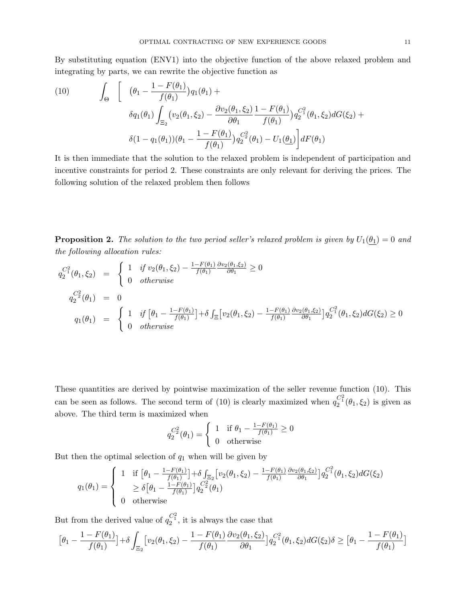By substituting equation (ENV1) into the objective function of the above relaxed problem and integrating by parts, we can rewrite the objective function as

(10) 
$$
\int_{\Theta} \left[ \left( \theta_{1} - \frac{1 - F(\theta_{1})}{f(\theta_{1})} \right) q_{1}(\theta_{1}) + \delta q_{1}(\theta_{1}) \int_{\Xi_{2}} (v_{2}(\theta_{1}, \xi_{2}) - \frac{\partial v_{2}(\theta_{1}, \xi_{2})}{\partial \theta_{1}} \frac{1 - F(\theta_{1})}{f(\theta_{1})} q_{2}^{C_{1}^{2}}(\theta_{1}, \xi_{2}) dG(\xi_{2}) + \delta (1 - q_{1}(\theta_{1})) (\theta_{1} - \frac{1 - F(\theta_{1})}{f(\theta_{1})} q_{2}^{C_{2}^{2}}(\theta_{1}) - U_{1}(\underline{\theta_{1}}) \right] dF(\theta_{1})
$$

It is then immediate that the solution to the relaxed problem is independent of participation and incentive constraints for period 2. These constraints are only relevant for deriving the prices. The following solution of the relaxed problem then follows

**Proposition 2.** The solution to the two period seller's relaxed problem is given by  $U_1(\theta_1) = 0$  and the following allocation rules:

$$
q_2^{C_1^2}(\theta_1, \xi_2) = \begin{cases} 1 & \text{if } v_2(\theta_1, \xi_2) - \frac{1 - F(\theta_1)}{f(\theta_1)} \frac{\partial v_2(\theta_1, \xi_2)}{\partial \theta_1} \ge 0 \\ 0 & \text{otherwise} \end{cases}
$$
  
\n
$$
q_2^{C_2^2}(\theta_1) = 0
$$
  
\n
$$
q_1(\theta_1) = \begin{cases} 1 & \text{if } [\theta_1 - \frac{1 - F(\theta_1)}{f(\theta_1)}] + \delta \int_{\Xi} \left[ v_2(\theta_1, \xi_2) - \frac{1 - F(\theta_1)}{f(\theta_1)} \frac{\partial v_2(\theta_1, \xi_2)}{\partial \theta_1} \right] q_2^{C_1^2}(\theta_1, \xi_2) dG(\xi_2) \ge 0 \\ 0 & \text{otherwise} \end{cases}
$$

These quantities are derived by pointwise maximization of the seller revenue function (10). This can be seen as follows. The second term of (10) is clearly maximized when  $q_2^{C_1^2}(\theta_1,\xi_2)$  is given as above. The third term is maximized when

$$
q_2^{C_2^2}(\theta_1) = \begin{cases} 1 & \text{if } \theta_1 - \frac{1 - F(\theta_1)}{f(\theta_1)} \ge 0\\ 0 & \text{otherwise} \end{cases}
$$

But then the optimal selection of  $q_1$  when will be given by

$$
q_1(\theta_1) = \begin{cases} 1 & \text{if } \left[\theta_1 - \frac{1 - F(\theta_1)}{f(\theta_1)}\right] + \delta \int_{\Xi_2} \left[v_2(\theta_1, \xi_2) - \frac{1 - F(\theta_1)}{f(\theta_1)} \frac{\partial v_2(\theta_1, \xi_2)}{\partial \theta_1}\right] q_2^{C_1^2}(\theta_1, \xi_2) dG(\xi_2) \\ & \ge \delta \left[\theta_1 - \frac{1 - F(\theta_1)}{f(\theta_1)}\right] q_2^{C_2^2}(\theta_1) \\ 0 & \text{otherwise} \end{cases}
$$

But from the derived value of  $q_2^{C_1^2}$ , it is always the case that

$$
\left[\theta_1 - \frac{1 - F(\theta_1)}{f(\theta_1)}\right] + \delta \int_{\Xi_2} \left[ \nu_2(\theta_1, \xi_2) - \frac{1 - F(\theta_1)}{f(\theta_1)} \frac{\partial \nu_2(\theta_1, \xi_2)}{\partial \theta_1} \right] q_2^{C_1^2}(\theta_1, \xi_2) dG(\xi_2) \delta \geq \left[\theta_1 - \frac{1 - F(\theta_1)}{f(\theta_1)}\right]
$$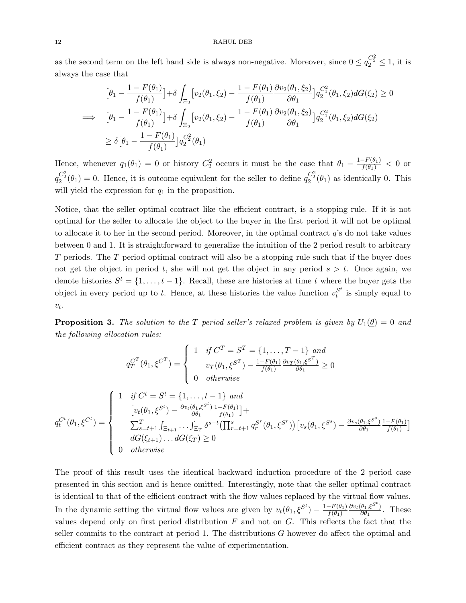as the second term on the left hand side is always non-negative. Moreover, since  $0 \le q_2^{C_2^2} \le 1$ , it is always the case that

$$
\begin{aligned}\n\left[\theta_{1} - \frac{1 - F(\theta_{1})}{f(\theta_{1})}\right] + \delta \int_{\Xi_{2}} \left[v_{2}(\theta_{1}, \xi_{2}) - \frac{1 - F(\theta_{1})}{f(\theta_{1})} \frac{\partial v_{2}(\theta_{1}, \xi_{2})}{\partial \theta_{1}}\right] q_{2}^{C_{1}^{2}}(\theta_{1}, \xi_{2}) dG(\xi_{2}) \ge 0 \\
\implies \left[\theta_{1} - \frac{1 - F(\theta_{1})}{f(\theta_{1})}\right] + \delta \int_{\Xi_{2}} \left[v_{2}(\theta_{1}, \xi_{2}) - \frac{1 - F(\theta_{1})}{f(\theta_{1})} \frac{\partial v_{2}(\theta_{1}, \xi_{2})}{\partial \theta_{1}}\right] q_{2}^{C_{1}^{2}}(\theta_{1}, \xi_{2}) dG(\xi_{2}) \\
\ge \delta \left[\theta_{1} - \frac{1 - F(\theta_{1})}{f(\theta_{1})}\right] q_{2}^{C_{2}^{2}}(\theta_{1})\n\end{aligned}
$$

Hence, whenever  $q_1(\theta_1) = 0$  or history  $C_2^2$  occurs it must be the case that  $\theta_1 - \frac{1 - F(\theta_1)}{f(\theta_1)} < 0$  or  $q_2^{C_2^2}(\theta_1)=0$ . Hence, it is outcome equivalent for the seller to define  $q_2^{C_2^2}(\theta_1)$  as identically 0. This will yield the expression for  $q_1$  in the proposition.

Notice, that the seller optimal contract like the efficient contract, is a stopping rule. If it is not optimal for the seller to allocate the object to the buyer in the first period it will not be optimal to allocate it to her in the second period. Moreover, in the optimal contract  $q$ 's do not take values between 0 and 1. It is straightforward to generalize the intuition of the 2 period result to arbitrary T periods. The T period optimal contract will also be a stopping rule such that if the buyer does not get the object in period t, she will not get the object in any period  $s > t$ . Once again, we denote histories  $S^t = \{1, \ldots, t-1\}$ . Recall, these are histories at time t where the buyer gets the object in every period up to t. Hence, at these histories the value function  $v_t^{S^t}$  $t<sup>s</sup>$  is simply equal to  $v_t$ .

**Proposition 3.** The solution to the T period seller's relaxed problem is given by  $U_1(\underline{\theta}) = 0$  and the following allocation rules:

$$
q_T^{C^T}(\theta_1, \xi^{C^T}) = \begin{cases} 1 & \text{if } C^T = S^T = \{1, \dots, T-1\} \text{ and} \\ v_T(\theta_1, \xi^{S^T}) - \frac{1 - F(\theta_1)}{f(\theta_1)} \frac{\partial v_T(\theta_1, \xi^{S^T})}{\partial \theta_1} \ge 0 \\ 0 & \text{otherwise} \end{cases}
$$
  

$$
q_t^{C^t}(\theta_1, \xi^{C^t}) = \begin{cases} 1 & \text{if } C^t = S^t = \{1, \dots, t-1\} \text{ and} \\ v_t(\theta_1, \xi^{S^t}) - \frac{\partial v_t(\theta_1, \xi^{S^t})}{\partial \theta_1} \frac{1 - F(\theta_1)}{f(\theta_1)}\} + \\ \sum_{s=t+1}^T \int_{\Xi_{t+1}} \dots \int_{\Xi_T} \delta^{s-t} \left(\prod_{r=t+1}^s q_r^{S^r}(\theta_1, \xi^{S^r})\right) \left[v_s(\theta_1, \xi^{S^s}) - \frac{\partial v_s(\theta_1, \xi^{S^s})}{\partial \theta_1} \frac{1 - F(\theta_1)}{f(\theta_1)}\right] \\ dG(\xi_{t+1}) \dots dG(\xi_T) \ge 0 \\ 0 & \text{otherwise} \end{cases}
$$

The proof of this result uses the identical backward induction procedure of the 2 period case presented in this section and is hence omitted. Interestingly, note that the seller optimal contract is identical to that of the efficient contract with the flow values replaced by the virtual flow values. In the dynamic setting the virtual flow values are given by  $v_t(\theta_1, \xi^{S^t}) - \frac{1 - F(\theta_1)}{f(\theta_1)}$  $f(\theta_1)$  $\partial v_t(\theta_1, \xi^{S^t})$  $\frac{\partial_1 \xi}{\partial \theta_1}$ . These values depend only on first period distribution  $F$  and not on  $G$ . This reflects the fact that the seller commits to the contract at period 1. The distributions G however do affect the optimal and efficient contract as they represent the value of experimentation.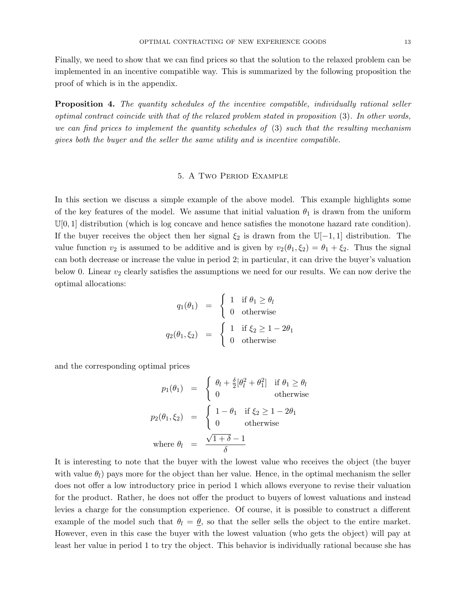Finally, we need to show that we can find prices so that the solution to the relaxed problem can be implemented in an incentive compatible way. This is summarized by the following proposition the proof of which is in the appendix.

**Proposition 4.** The quantity schedules of the incentive compatible, individually rational seller optimal contract coincide with that of the relaxed problem stated in proposition (3). In other words, we can find prices to implement the quantity schedules of (3) such that the resulting mechanism gives both the buyer and the seller the same utility and is incentive compatible.

## 5. A Two Period Example

In this section we discuss a simple example of the above model. This example highlights some of the key features of the model. We assume that initial valuation  $\theta_1$  is drawn from the uniform  $\mathbb{U}[0,1]$  distribution (which is log concave and hence satisfies the monotone hazard rate condition). If the buyer receives the object then her signal  $\xi_2$  is drawn from the  $\mathbb{U}[-1,1]$  distribution. The value function  $v_2$  is assumed to be additive and is given by  $v_2(\theta_1, \xi_2) = \theta_1 + \xi_2$ . Thus the signal can both decrease or increase the value in period 2; in particular, it can drive the buyer's valuation below 0. Linear  $v_2$  clearly satisfies the assumptions we need for our results. We can now derive the optimal allocations:

$$
q_1(\theta_1) = \begin{cases} 1 & \text{if } \theta_1 \ge \theta_l \\ 0 & \text{otherwise} \end{cases}
$$

$$
q_2(\theta_1, \xi_2) = \begin{cases} 1 & \text{if } \xi_2 \ge 1 - 2\theta_1 \\ 0 & \text{otherwise} \end{cases}
$$

and the corresponding optimal prices

$$
p_1(\theta_1) = \begin{cases} \theta_l + \frac{\delta}{2} [\theta_l^2 + \theta_1^2] & \text{if } \theta_1 \ge \theta_l \\ 0 & \text{otherwise} \end{cases}
$$
  

$$
p_2(\theta_1, \xi_2) = \begin{cases} 1 - \theta_1 & \text{if } \xi_2 \ge 1 - 2\theta_1 \\ 0 & \text{otherwise} \end{cases}
$$
  
where  $\theta_l = \frac{\sqrt{1 + \delta} - 1}{\delta}$ 

It is interesting to note that the buyer with the lowest value who receives the object (the buyer with value  $\theta_l$ ) pays more for the object than her value. Hence, in the optimal mechanism the seller does not offer a low introductory price in period 1 which allows everyone to revise their valuation for the product. Rather, he does not offer the product to buyers of lowest valuations and instead levies a charge for the consumption experience. Of course, it is possible to construct a different example of the model such that  $\theta_l = \theta$ , so that the seller sells the object to the entire market. However, even in this case the buyer with the lowest valuation (who gets the object) will pay at least her value in period 1 to try the object. This behavior is individually rational because she has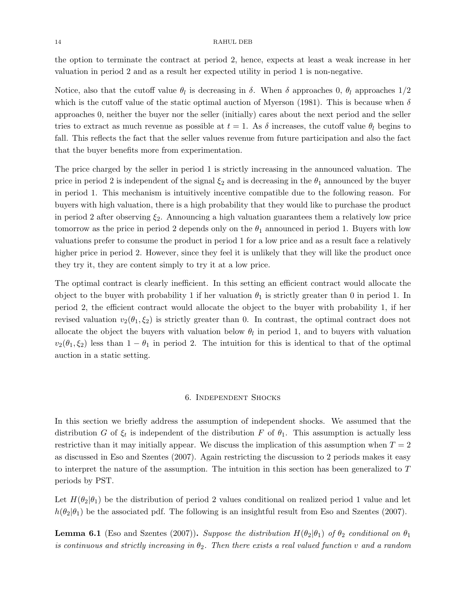the option to terminate the contract at period 2, hence, expects at least a weak increase in her valuation in period 2 and as a result her expected utility in period 1 is non-negative.

Notice, also that the cutoff value  $\theta_l$  is decreasing in  $\delta$ . When  $\delta$  approaches 0,  $\theta_l$  approaches  $1/2$ which is the cutoff value of the static optimal auction of Myerson (1981). This is because when  $\delta$ approaches 0, neither the buyer nor the seller (initially) cares about the next period and the seller tries to extract as much revenue as possible at  $t = 1$ . As  $\delta$  increases, the cutoff value  $\theta_l$  begins to fall. This reflects the fact that the seller values revenue from future participation and also the fact that the buyer benefits more from experimentation.

The price charged by the seller in period 1 is strictly increasing in the announced valuation. The price in period 2 is independent of the signal  $\xi_2$  and is decreasing in the  $\theta_1$  announced by the buyer in period 1. This mechanism is intuitively incentive compatible due to the following reason. For buyers with high valuation, there is a high probability that they would like to purchase the product in period 2 after observing  $\xi_2$ . Announcing a high valuation guarantees them a relatively low price tomorrow as the price in period 2 depends only on the  $\theta_1$  announced in period 1. Buyers with low valuations prefer to consume the product in period 1 for a low price and as a result face a relatively higher price in period 2. However, since they feel it is unlikely that they will like the product once they try it, they are content simply to try it at a low price.

The optimal contract is clearly inefficient. In this setting an efficient contract would allocate the object to the buyer with probability 1 if her valuation  $\theta_1$  is strictly greater than 0 in period 1. In period 2, the efficient contract would allocate the object to the buyer with probability 1, if her revised valuation  $v_2(\theta_1, \xi_2)$  is strictly greater than 0. In contrast, the optimal contract does not allocate the object the buyers with valuation below  $\theta_l$  in period 1, and to buyers with valuation  $v_2(\theta_1, \xi_2)$  less than  $1 - \theta_1$  in period 2. The intuition for this is identical to that of the optimal auction in a static setting.

## 6. Independent Shocks

In this section we briefly address the assumption of independent shocks. We assumed that the distribution G of  $\xi_t$  is independent of the distribution F of  $\theta_1$ . This assumption is actually less restrictive than it may initially appear. We discuss the implication of this assumption when  $T = 2$ as discussed in Eso and Szentes (2007). Again restricting the discussion to 2 periods makes it easy to interpret the nature of the assumption. The intuition in this section has been generalized to T periods by PST.

Let  $H(\theta_2|\theta_1)$  be the distribution of period 2 values conditional on realized period 1 value and let  $h(\theta_2|\theta_1)$  be the associated pdf. The following is an insightful result from Eso and Szentes (2007).

**Lemma 6.1** (Eso and Szentes (2007)). Suppose the distribution  $H(\theta_2|\theta_1)$  of  $\theta_2$  conditional on  $\theta_1$ is continuous and strictly increasing in  $\theta_2$ . Then there exists a real valued function v and a random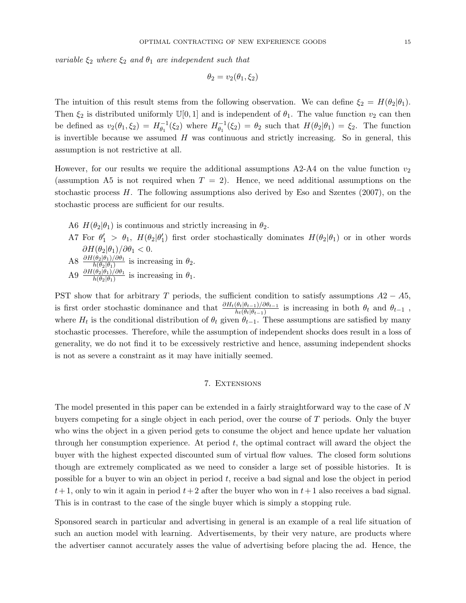variable  $\xi_2$  where  $\xi_2$  and  $\theta_1$  are independent such that

$$
\theta_2 = v_2(\theta_1, \xi_2)
$$

The intuition of this result stems from the following observation. We can define  $\xi_2 = H(\theta_2|\theta_1)$ . Then  $\xi_2$  is distributed uniformly  $\mathbb{U}[0,1]$  and is independent of  $\theta_1$ . The value function  $v_2$  can then be defined as  $v_2(\theta_1, \xi_2) = H_{\theta_1}^{-1}$  $\theta_1^{-1}(\xi_2)$  where  $H_{\theta_1}^{-1}$  $\theta_1^{-1}(\xi_2) = \theta_2$  such that  $H(\theta_2|\theta_1) = \xi_2$ . The function is invertible because we assumed  $H$  was continuous and strictly increasing. So in general, this assumption is not restrictive at all.

However, for our results we require the additional assumptions  $A2-A4$  on the value function  $v_2$ (assumption A5 is not required when  $T = 2$ ). Hence, we need additional assumptions on the stochastic process  $H$ . The following assumptions also derived by Eso and Szentes (2007), on the stochastic process are sufficient for our results.

- A6  $H(\theta_2|\theta_1)$  is continuous and strictly increasing in  $\theta_2$ .
- A7 For  $\theta'_1 > \theta_1$ ,  $H(\theta_2|\theta'_1)$  first order stochastically dominates  $H(\theta_2|\theta_1)$  or in other words  $\partial H(\theta_2|\theta_1)/\partial\theta_1 < 0.$
- A8  $\frac{\partial H(\theta_2|\theta_1)/\partial \theta_1}{h(\theta_2|\theta_1)}$  is increasing in  $\theta_2$ .
- A9  $\frac{\partial H(\theta_2|\theta_1)/\partial \theta_1}{h(\theta_2|\theta_1)}$  is increasing in  $\theta_1$ .

PST show that for arbitrary T periods, the sufficient condition to satisfy assumptions  $A2 - A5$ , is first order stochastic dominance and that  $\frac{\partial H_t(\theta_t|\theta_{t-1})}{h_t(\theta_t|\theta_{t-1})}$  is increasing in both  $\theta_t$  and  $\theta_{t-1}$ , where  $H_t$  is the conditional distribution of  $\theta_t$  given  $\theta_{t-1}$ . These assumptions are satisfied by many stochastic processes. Therefore, while the assumption of independent shocks does result in a loss of generality, we do not find it to be excessively restrictive and hence, assuming independent shocks is not as severe a constraint as it may have initially seemed.

## 7. Extensions

The model presented in this paper can be extended in a fairly straightforward way to the case of N buyers competing for a single object in each period, over the course of T periods. Only the buyer who wins the object in a given period gets to consume the object and hence update her valuation through her consumption experience. At period  $t$ , the optimal contract will award the object the buyer with the highest expected discounted sum of virtual flow values. The closed form solutions though are extremely complicated as we need to consider a large set of possible histories. It is possible for a buyer to win an object in period t, receive a bad signal and lose the object in period  $t+1$ , only to win it again in period  $t+2$  after the buyer who won in  $t+1$  also receives a bad signal. This is in contrast to the case of the single buyer which is simply a stopping rule.

Sponsored search in particular and advertising in general is an example of a real life situation of such an auction model with learning. Advertisements, by their very nature, are products where the advertiser cannot accurately asses the value of advertising before placing the ad. Hence, the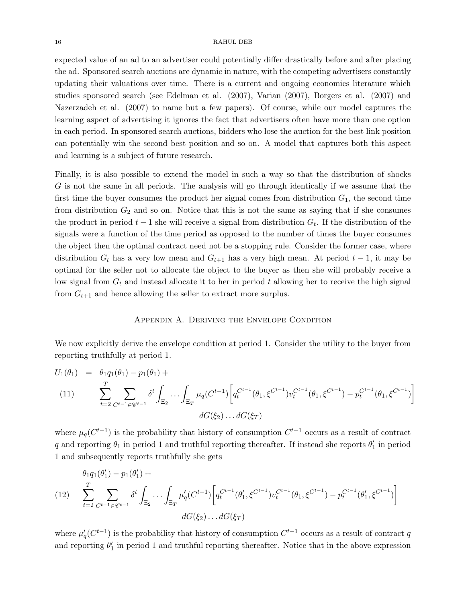expected value of an ad to an advertiser could potentially differ drastically before and after placing the ad. Sponsored search auctions are dynamic in nature, with the competing advertisers constantly updating their valuations over time. There is a current and ongoing economics literature which studies sponsored search (see Edelman et al. (2007), Varian (2007), Borgers et al. (2007) and Nazerzadeh et al. (2007) to name but a few papers). Of course, while our model captures the learning aspect of advertising it ignores the fact that advertisers often have more than one option in each period. In sponsored search auctions, bidders who lose the auction for the best link position can potentially win the second best position and so on. A model that captures both this aspect and learning is a subject of future research.

Finally, it is also possible to extend the model in such a way so that the distribution of shocks G is not the same in all periods. The analysis will go through identically if we assume that the first time the buyer consumes the product her signal comes from distribution  $G_1$ , the second time from distribution  $G_2$  and so on. Notice that this is not the same as saying that if she consumes the product in period  $t-1$  she will receive a signal from distribution  $G_t$ . If the distribution of the signals were a function of the time period as opposed to the number of times the buyer consumes the object then the optimal contract need not be a stopping rule. Consider the former case, where distribution  $G_t$  has a very low mean and  $G_{t+1}$  has a very high mean. At period  $t-1$ , it may be optimal for the seller not to allocate the object to the buyer as then she will probably receive a low signal from  $G_t$  and instead allocate it to her in period t allowing her to receive the high signal from  $G_{t+1}$  and hence allowing the seller to extract more surplus.

## Appendix A. Deriving the Envelope Condition

We now explicitly derive the envelope condition at period 1. Consider the utility to the buyer from reporting truthfully at period 1.

$$
U_1(\theta_1) = \theta_1 q_1(\theta_1) - p_1(\theta_1) +
$$
  
\n(11) 
$$
\sum_{t=2}^T \sum_{C^{t-1} \in \mathcal{C}^{t-1}} \delta^t \int_{\Xi_2} \cdots \int_{\Xi_T} \mu_q(C^{t-1}) \left[ q_t^{C^{t-1}}(\theta_1, \xi^{C^{t-1}}) v_t^{C^{t-1}}(\theta_1, \xi^{C^{t-1}}) - p_t^{C^{t-1}}(\theta_1, \xi^{C^{t-1}}) \right]
$$
  
\n
$$
dG(\xi_2) \ldots dG(\xi_T)
$$

where  $\mu_q(C^{t-1})$  is the probability that history of consumption  $C^{t-1}$  occurs as a result of contract q and reporting  $\theta_1$  in period 1 and truthful reporting thereafter. If instead she reports  $\theta'_1$  in period 1 and subsequently reports truthfully she gets

(12) 
$$
\sum_{t=2}^{T} \sum_{C^{t-1} \in \mathcal{C}^{t-1}} \delta^t \int_{\Xi_2} \cdots \int_{\Xi_T} \mu'_q (C^{t-1}) \left[ q_t^{C^{t-1}} (\theta'_1, \xi^{C^{t-1}}) v_t^{C^{t-1}} (\theta_1, \xi^{C^{t-1}}) - p_t^{C^{t-1}} (\theta'_1, \xi^{C^{t-1}}) \right]
$$

$$
dG(\xi_2) \ldots dG(\xi_T)
$$

where  $\mu'_{q}(C^{t-1})$  is the probability that history of consumption  $C^{t-1}$  occurs as a result of contract q and reporting  $\theta_1'$  in period 1 and truthful reporting thereafter. Notice that in the above expression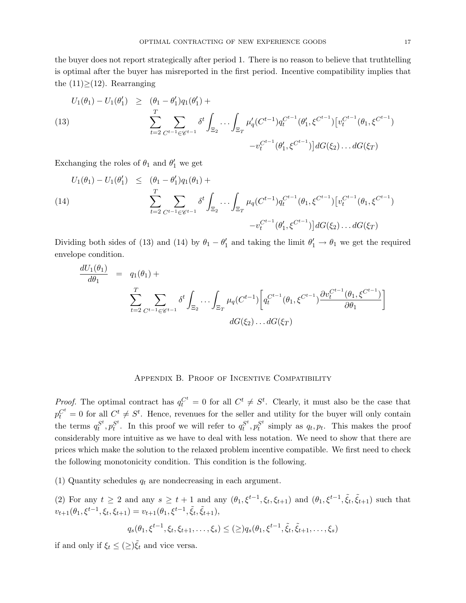the buyer does not report strategically after period 1. There is no reason to believe that truthtelling is optimal after the buyer has misreported in the first period. Incentive compatibility implies that the  $(11) \geq (12)$ . Rearranging

(13)  

$$
U_1(\theta_1) - U_1(\theta'_1) \geq (\theta_1 - \theta'_1)q_1(\theta'_1) + \sum_{t=2}^T \sum_{C^{t-1} \in \mathscr{C}^{t-1}} \delta^t \int_{\Xi_2} \cdots \int_{\Xi_T} \mu'_q (C^{t-1}) q_t^{C^{t-1}} (\theta'_1, \xi^{C^{t-1}}) [v_t^{C^{t-1}} (\theta_1, \xi^{C^{t-1}})] dG(\xi_2) \dots dG(\xi_T)
$$

Exchanging the roles of  $\theta_1$  and  $\theta'_1$  we get

(14)  

$$
U_1(\theta_1) - U_1(\theta'_1) \leq (\theta_1 - \theta'_1)q_1(\theta_1) + \sum_{t=2}^T \sum_{C^{t-1} \in \mathscr{C}^{t-1}} \delta^t \int_{\Xi_2} \cdots \int_{\Xi_T} \mu_q(C^{t-1}) q_t^{C^{t-1}}(\theta_1, \xi^{C^{t-1}}) [v_t^{C^{t-1}}(\theta_1, \xi^{C^{t-1}})] dG(\xi_2) \dots dG(\xi_T)
$$

Dividing both sides of (13) and (14) by  $\theta_1 - \theta'_1$  and taking the limit  $\theta'_1 \to \theta_1$  we get the required envelope condition.

$$
\frac{dU_1(\theta_1)}{d\theta_1} = q_1(\theta_1) + \sum_{t=2}^T \sum_{C^{t-1} \in \mathscr{C}^{t-1}} \delta^t \int_{\Xi_2} \cdots \int_{\Xi_T} \mu_q(C^{t-1}) \left[ q_t^{C^{t-1}}(\theta_1, \xi^{C^{t-1}}) \frac{\partial v_t^{C^{t-1}}(\theta_1, \xi^{C^{t-1}})}{\partial \theta_1} \right]
$$

$$
dG(\xi_2) \cdots dG(\xi_T)
$$

## Appendix B. Proof of Incentive Compatibility

*Proof.* The optimal contract has  $q_t^{C^t} = 0$  for all  $C^t \neq S^t$ . Clearly, it must also be the case that  $p_t^{C^t} = 0$  for all  $C^t \neq S^t$ . Hence, revenues for the seller and utility for the buyer will only contain the terms  $q_t^{S^t}$  $s^t$ ,  $p_t^{S^t}$  $s_t^{st}$ . In this proof we will refer to  $q_t^{S^t}$  $s^t, p_t^{S^t}$  $s^s_t$  simply as  $q_t, p_t$ . This makes the proof considerably more intuitive as we have to deal with less notation. We need to show that there are prices which make the solution to the relaxed problem incentive compatible. We first need to check the following monotonicity condition. This condition is the following.

(1) Quantity schedules  $q_t$  are nondecreasing in each argument.

(2) For any  $t \geq 2$  and any  $s \geq t+1$  and any  $(\theta_1, \xi^{t-1}, \xi_t, \xi_{t+1})$  and  $(\theta_1, \xi^{t-1}, \tilde{\xi}_t, \tilde{\xi}_{t+1})$  such that  $v_{t+1}(\theta_1, \xi^{t-1}, \xi_t, \xi_{t+1}) = v_{t+1}(\theta_1, \xi^{t-1}, \tilde{\xi}_t, \tilde{\xi}_{t+1}),$ 

$$
q_s(\theta_1, \xi^{t-1}, \xi_t, \xi_{t+1}, \dots, \xi_s) \leq (\geq) q_s(\theta_1, \xi^{t-1}, \tilde{\xi}_t, \tilde{\xi}_{t+1}, \dots, \xi_s)
$$

if and only if  $\xi_t \leq (\geq) \tilde{\xi}_t$  and vice versa.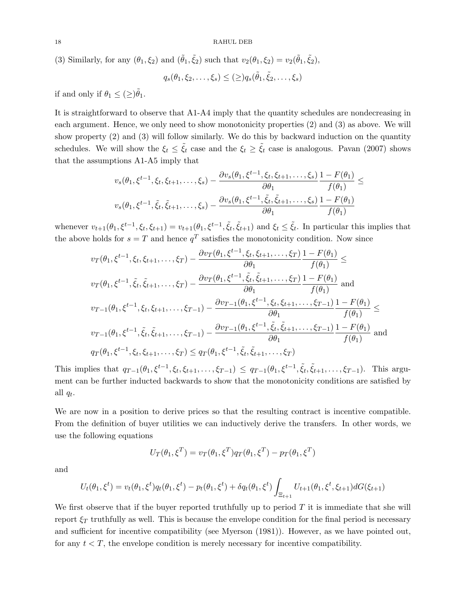(3) Similarly, for any  $(\theta_1, \xi_2)$  and  $(\tilde{\theta}_1, \tilde{\xi}_2)$  such that  $v_2(\theta_1, \xi_2) = v_2(\tilde{\theta}_1, \tilde{\xi}_2)$ ,

$$
q_s(\theta_1, \xi_2, \dots, \xi_s) \leq (\geq) q_s(\tilde{\theta}_1, \tilde{\xi}_2, \dots, \xi_s)
$$

if and only if  $\theta_1 \leq (\geq) \tilde{\theta}_1$ .

It is straightforward to observe that A1-A4 imply that the quantity schedules are nondecreasing in each argument. Hence, we only need to show monotonicity properties (2) and (3) as above. We will show property (2) and (3) will follow similarly. We do this by backward induction on the quantity schedules. We will show the  $\xi_t \leq \xi_t$  case and the  $\xi_t \geq \xi_t$  case is analogous. Pavan (2007) shows that the assumptions A1-A5 imply that

$$
v_s(\theta_1, \xi^{t-1}, \xi_t, \xi_{t+1}, \dots, \xi_s) - \frac{\partial v_s(\theta_1, \xi^{t-1}, \xi_t, \xi_{t+1}, \dots, \xi_s)}{\partial \theta_1} \frac{1 - F(\theta_1)}{f(\theta_1)} \le
$$
  

$$
v_s(\theta_1, \xi^{t-1}, \tilde{\xi}_t, \tilde{\xi}_{t+1}, \dots, \xi_s) - \frac{\partial v_s(\theta_1, \xi^{t-1}, \tilde{\xi}_t, \tilde{\xi}_{t+1}, \dots, \xi_s)}{\partial \theta_1} \frac{1 - F(\theta_1)}{f(\theta_1)}
$$

whenever  $v_{t+1}(\theta_1, \xi^{t-1}, \xi_t, \xi_{t+1}) = v_{t+1}(\theta_1, \xi^{t-1}, \tilde{\xi}_t, \tilde{\xi}_{t+1})$  and  $\xi_t \leq \tilde{\xi}_t$ . In particular this implies that the above holds for  $s = T$  and hence  $q<sup>T</sup>$  satisfies the monotonicity condition. Now since

$$
v_T(\theta_1, \xi^{t-1}, \xi_t, \xi_{t+1}, \dots, \xi_T) - \frac{\partial v_T(\theta_1, \xi^{t-1}, \xi_t, \xi_{t+1}, \dots, \xi_T)}{\partial \theta_1} \frac{1 - F(\theta_1)}{f(\theta_1)} \le
$$
  
\n
$$
v_T(\theta_1, \xi^{t-1}, \tilde{\xi}_t, \tilde{\xi}_{t+1}, \dots, \xi_T) - \frac{\partial v_T(\theta_1, \xi^{t-1}, \tilde{\xi}_t, \tilde{\xi}_{t+1}, \dots, \xi_T)}{\partial \theta_1} \frac{1 - F(\theta_1)}{f(\theta_1)}
$$
 and  
\n
$$
v_{T-1}(\theta_1, \xi^{t-1}, \xi_t, \xi_{t+1}, \dots, \xi_{T-1}) - \frac{\partial v_{T-1}(\theta_1, \xi^{t-1}, \xi_t, \xi_{t+1}, \dots, \xi_{T-1})}{\partial \theta_1} \frac{1 - F(\theta_1)}{f(\theta_1)} \le
$$
  
\n
$$
v_{T-1}(\theta_1, \xi^{t-1}, \tilde{\xi}_t, \tilde{\xi}_{t+1}, \dots, \xi_{T-1}) - \frac{\partial v_{T-1}(\theta_1, \xi^{t-1}, \tilde{\xi}_t, \tilde{\xi}_t, \xi_{t+1}, \dots, \xi_{T-1})}{\partial \theta_1} \frac{1 - F(\theta_1)}{f(\theta_1)}
$$
 and  
\n
$$
q_T(\theta_1, \xi^{t-1}, \xi_t, \xi_{t+1}, \dots, \xi_T) \le q_T(\theta_1, \xi^{t-1}, \tilde{\xi}_t, \tilde{\xi}_{t+1}, \dots, \xi_T)
$$

This implies that  $q_{T-1}(\theta_1, \xi^{t-1}, \xi_t, \xi_{t+1}, \ldots, \xi_{T-1}) \leq q_{T-1}(\theta_1, \xi^{t-1}, \tilde{\xi}_t, \tilde{\xi}_{t+1}, \ldots, \xi_{T-1})$ . This argument can be further inducted backwards to show that the monotonicity conditions are satisfied by all  $q_t$ .

We are now in a position to derive prices so that the resulting contract is incentive compatible. From the definition of buyer utilities we can inductively derive the transfers. In other words, we use the following equations

$$
U_T(\theta_1, \xi^T) = v_T(\theta_1, \xi^T) q_T(\theta_1, \xi^T) - p_T(\theta_1, \xi^T)
$$

and

$$
U_t(\theta_1, \xi^t) = v_t(\theta_1, \xi^t)q_t(\theta_1, \xi^t) - p_t(\theta_1, \xi^t) + \delta q_t(\theta_1, \xi^t) \int_{\Xi_{t+1}} U_{t+1}(\theta_1, \xi^t, \xi_{t+1}) dG(\xi_{t+1})
$$

We first observe that if the buyer reported truthfully up to period  $T$  it is immediate that she will report  $\xi_T$  truthfully as well. This is because the envelope condition for the final period is necessary and sufficient for incentive compatibility (see Myerson (1981)). However, as we have pointed out, for any  $t < T$ , the envelope condition is merely necessary for incentive compatibility.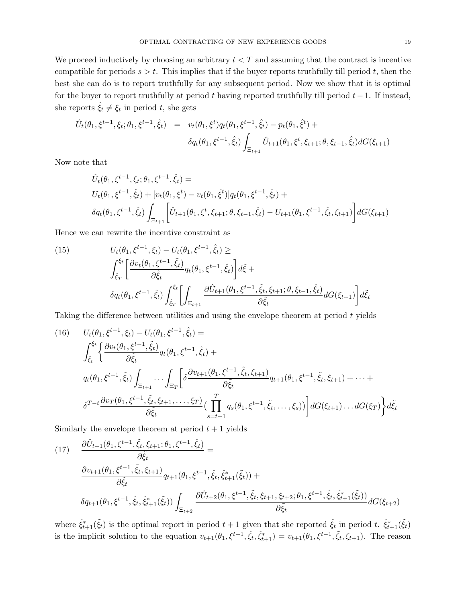We proceed inductively by choosing an arbitrary  $t < T$  and assuming that the contract is incentive compatible for periods  $s > t$ . This implies that if the buyer reports truthfully till period t, then the best she can do is to report truthfully for any subsequent period. Now we show that it is optimal for the buyer to report truthfully at period t having reported truthfully till period  $t-1$ . If instead, she reports  $\hat{\xi}_t \neq \xi_t$  in period t, she gets

$$
\hat{U}_t(\theta_1, \xi^{t-1}, \xi_t; \theta_1, \xi^{t-1}, \hat{\xi}_t) = v_t(\theta_1, \xi^t) q_t(\theta_1, \xi^{t-1}, \hat{\xi}_t) - p_t(\theta_1, \hat{\xi}^t) + \delta q_t(\theta_1, \xi^{t-1}, \hat{\xi}_t) \int_{\Xi_{t+1}} \hat{U}_{t+1}(\theta_1, \xi^t, \xi_{t+1}; \theta, \xi_{t-1}, \hat{\xi}_t) dG(\xi_{t+1})
$$

Now note that

$$
\hat{U}_t(\theta_1, \xi^{t-1}, \xi_t; \theta_1, \xi^{t-1}, \hat{\xi}_t) =
$$
\n
$$
U_t(\theta_1, \xi^{t-1}, \hat{\xi}_t) + [v_t(\theta_1, \xi^t) - v_t(\theta_1, \hat{\xi}^t)]q_t(\theta_1, \xi^{t-1}, \hat{\xi}_t) +
$$
\n
$$
\delta q_t(\theta_1, \xi^{t-1}, \hat{\xi}_t) \int_{\Xi_{t+1}} \left[ \hat{U}_{t+1}(\theta_1, \xi^t, \xi_{t+1}; \theta, \xi_{t-1}, \hat{\xi}_t) - U_{t+1}(\theta_1, \xi^{t-1}, \hat{\xi}_t, \xi_{t+1}) \right] dG(\xi_{t+1})
$$

Hence we can rewrite the incentive constraint as

(15) 
$$
U_t(\theta_1, \xi^{t-1}, \xi_t) - U_t(\theta_1, \xi^{t-1}, \hat{\xi}_t) \ge
$$

$$
\int_{\hat{\xi}_T}^{\xi_t} \left[ \frac{\partial v_t(\theta_1, \xi^{t-1}, \tilde{\xi}_t)}{\partial \tilde{\xi}_t} q_t(\theta_1, \xi^{t-1}, \hat{\xi}_t) \right] d\tilde{\xi} +
$$

$$
\delta q_t(\theta_1, \xi^{t-1}, \hat{\xi}_t) \int_{\hat{\xi}_T}^{\xi_t} \left[ \int_{\Xi_{t+1}} \frac{\partial \hat{U}_{t+1}(\theta_1, \xi^{t-1}, \tilde{\xi}_t, \xi_{t+1}; \theta, \xi_{t-1}, \hat{\xi}_t)}{\partial \tilde{\xi}_t} dG(\xi_{t+1}) \right] d\tilde{\xi}_t
$$

Taking the difference between utilities and using the envelope theorem at period t yields

(16) 
$$
U_t(\theta_1, \xi^{t-1}, \xi_t) - U_t(\theta_1, \xi^{t-1}, \hat{\xi}_t) =
$$
  
\n
$$
\int_{\hat{\xi}_t}^{\xi_t} \left\{ \frac{\partial v_t(\theta_1, \xi^{t-1}, \tilde{\xi}_t)}{\partial \tilde{\xi}_t} q_t(\theta_1, \xi^{t-1}, \tilde{\xi}_t) +
$$
  
\n
$$
q_t(\theta_1, \xi^{t-1}, \tilde{\xi}_t) \int_{\Xi_{t+1}} \cdots \int_{\Xi_T} \left[ \delta \frac{\partial v_{t+1}(\theta_1, \xi^{t-1}, \tilde{\xi}_t, \xi_{t+1})}{\partial \tilde{\xi}_t} q_{t+1}(\theta_1, \xi^{t-1}, \tilde{\xi}_t, \xi_{t+1}) + \cdots +
$$
  
\n
$$
\delta^{T-t} \frac{\partial v_T(\theta_1, \xi^{t-1}, \tilde{\xi}_t, \xi_{t+1}, \dots, \xi_T)}{\partial \tilde{\xi}_t} \Big( \prod_{s=t+1}^T q_s(\theta_1, \xi^{t-1}, \tilde{\xi}_t, \dots, \xi_s) \Big) \right] dG(\xi_{t+1}) \dots dG(\xi_T) \Big\} d\tilde{\xi}_t
$$

Similarly the envelope theorem at period  $t + 1$  yields

(17) 
$$
\frac{\partial \hat{U}_{t+1}(\theta_1, \xi^{t-1}, \tilde{\xi}_t, \xi_{t+1}; \theta_1, \xi^{t-1}, \hat{\xi}_t)}{\partial \tilde{\xi}_t} = \frac{\partial v_{t+1}(\theta_1, \xi^{t-1}, \tilde{\xi}_t, \xi_{t+1})}{\partial \tilde{\xi}_t} q_{t+1}(\theta_1, \xi^{t-1}, \hat{\xi}_t, \hat{\xi}_{t+1}^*(\tilde{\xi}_t)) + \delta q_{t+1}(\theta_1, \xi^{t-1}, \hat{\xi}_t, \hat{\xi}_{t+1}^*(\tilde{\xi}_t)) \int_{\Xi_{t+2}} \frac{\partial \hat{U}_{t+2}(\theta_1, \xi^{t-1}, \tilde{\xi}_t, \xi_{t+1}, \xi_{t+2}; \theta_1, \xi^{t-1}, \hat{\xi}_t, \hat{\xi}_{t+1}^*(\tilde{\xi}_t))}{\partial \tilde{\xi}_t} dG(\xi_{t+2})
$$

where  $\hat{\xi}_{t+1}^*(\tilde{\xi}_t)$  is the optimal report in period  $t+1$  given that she reported  $\hat{\xi}_t$  in period t.  $\hat{\xi}_{t+1}^*(\tilde{\xi}_t)$ is the implicit solution to the equation  $v_{t+1}(\theta_1,\xi^{t-1},\hat{\xi}_t,\hat{\xi}_{t+1}^*) = v_{t+1}(\theta_1,\xi^{t-1},\tilde{\xi}_t,\xi_{t+1})$ . The reason